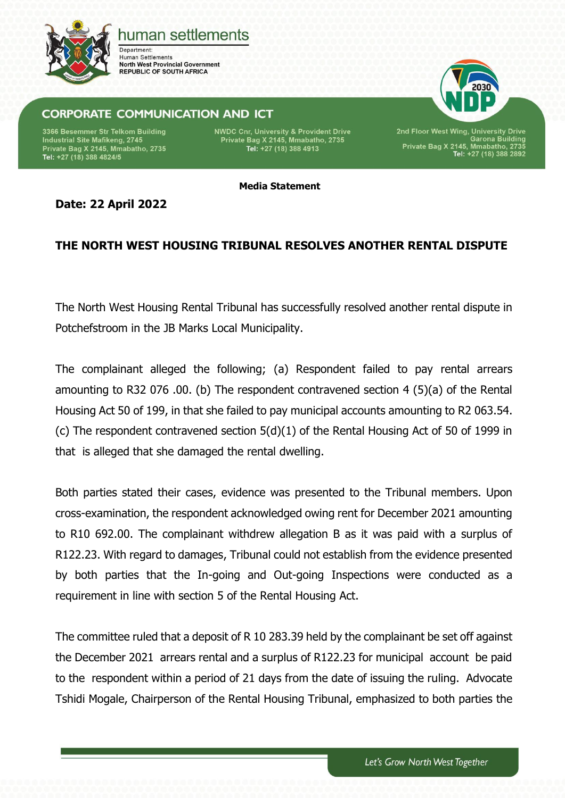

## human settlements

Department: **Human Settlements North West Provincial Government REPUBLIC OF SOUTH AFRICA** 

## **CORPORATE COMMUNICATION AND ICT**

3366 Besemmer Str Telkom Building Industrial Site Mafikeng, 2745 Private Bag X 2145, Mmabatho, 2735<br>Tel: +27 (18) 388 4824/5 **NWDC Cnr, University & Provident Drive** Private Bag X 2145, Mmabatho, 2735<br>Tel: +27 (18) 388 4913



2nd Floor West Wing, University Drive<br>Garona Building<br>Private Bag X 2145, Mmabatho, 2735<br>Tel: +27 (18) 388 2892

**Media Statement**

**Date: 22 April 2022**

## **THE NORTH WEST HOUSING TRIBUNAL RESOLVES ANOTHER RENTAL DISPUTE**

The North West Housing Rental Tribunal has successfully resolved another rental dispute in Potchefstroom in the JB Marks Local Municipality.

The complainant alleged the following; (a) Respondent failed to pay rental arrears amounting to R32 076 .00. (b) The respondent contravened section 4 (5)(a) of the Rental Housing Act 50 of 199, in that she failed to pay municipal accounts amounting to R2 063.54. (c) The respondent contravened section 5(d)(1) of the Rental Housing Act of 50 of 1999 in that is alleged that she damaged the rental dwelling.

Both parties stated their cases, evidence was presented to the Tribunal members. Upon cross-examination, the respondent acknowledged owing rent for December 2021 amounting to R10 692.00. The complainant withdrew allegation B as it was paid with a surplus of R122.23. With regard to damages, Tribunal could not establish from the evidence presented by both parties that the In-going and Out-going Inspections were conducted as a requirement in line with section 5 of the Rental Housing Act.

The committee ruled that a deposit of R 10 283.39 held by the complainant be set off against the December 2021 arrears rental and a surplus of R122.23 for municipal account be paid to the respondent within a period of 21 days from the date of issuing the ruling. Advocate Tshidi Mogale, Chairperson of the Rental Housing Tribunal, emphasized to both parties the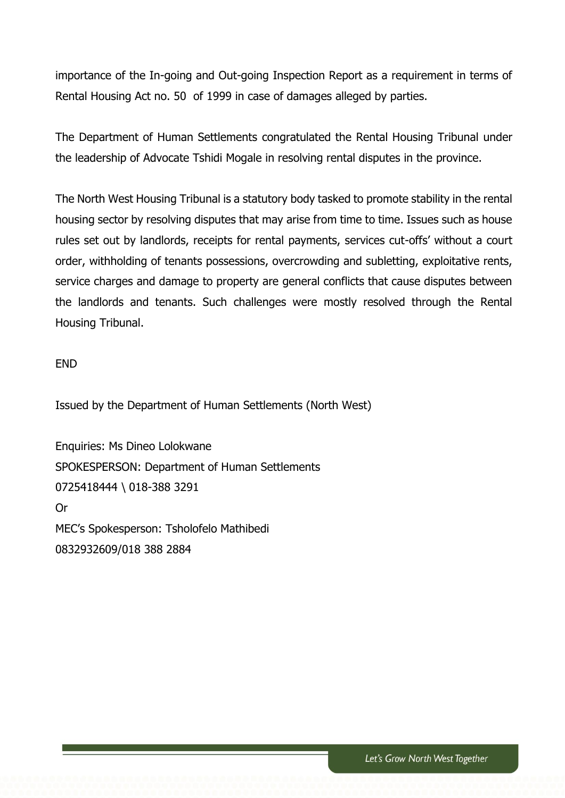importance of the In-going and Out-going Inspection Report as a requirement in terms of Rental Housing Act no. 50 of 1999 in case of damages alleged by parties.

The Department of Human Settlements congratulated the Rental Housing Tribunal under the leadership of Advocate Tshidi Mogale in resolving rental disputes in the province.

The North West Housing Tribunal is a statutory body tasked to promote stability in the rental housing sector by resolving disputes that may arise from time to time. Issues such as house rules set out by landlords, receipts for rental payments, services cut-offs' without a court order, withholding of tenants possessions, overcrowding and subletting, exploitative rents, service charges and damage to property are general conflicts that cause disputes between the landlords and tenants. Such challenges were mostly resolved through the Rental Housing Tribunal.

END

Issued by the Department of Human Settlements (North West)

Enquiries: Ms Dineo Lolokwane SPOKESPERSON: Department of Human Settlements 0725418444 \ 018-388 3291 Or MEC's Spokesperson: Tsholofelo Mathibedi 0832932609/018 388 2884